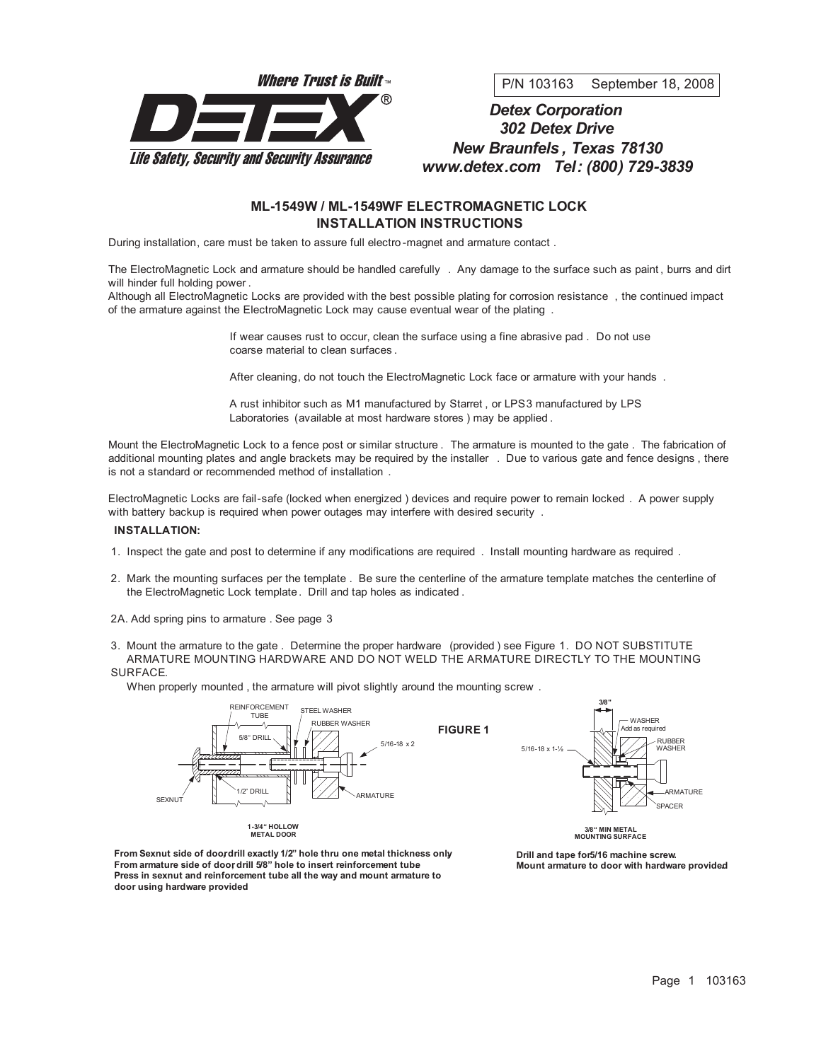

P/N 103163 September 18, 2008

# *Detex Corporation 302 Detex Drive New Braunfels , Texas 78130 www.detex.com Tel: (800) 729-3839*

## **ML-1549W / ML-1549WF ELECTROMAGNETIC LOCK INSTALLATION INSTRUCTIONS**

During installation, care must be taken to assure full electro -magnet and armature contact .

The ElectroMagnetic Lock and armature should be handled carefully . Any damage to the surface such as paint , burrs and dirt will hinder full holding power .

Although all ElectroMagnetic Locks are provided with the best possible plating for corrosion resistance , the continued impact of the armature against the ElectroMagnetic Lock may cause eventual wear of the plating .

> If wear causes rust to occur, clean the surface using a fine abrasive pad . Do not use coarse material to clean surfaces .

After cleaning, do not touch the ElectroMagnetic Lock face or armature with your hands.

A rust inhibitor such as M1 manufactured by Starret , or LPS3 manufactured by LPS Laboratories (available at most hardware stores ) may be applied .

Mount the ElectroMagnetic Lock to a fence post or similar structure . The armature is mounted to the gate . The fabrication of additional mounting plates and angle brackets may be required by the installer . Due to various gate and fence designs , there is not a standard or recommended method of installation .

ElectroMagnetic Locks are fail-safe (locked when energized ) devices and require power to remain locked . A power supply with battery backup is required when power outages may interfere with desired security .

#### **INSTALLATION:**

- 1. Inspect the gate and post to determine if any modifications are required . Install mounting hardware as required .
- 2. Mark the mounting surfaces per the template . Be sure the centerline of the armature template matches the centerline of the ElectroMagnetic Lock template. Drill and tap holes as indicated .
- 2A. Add spring pins to armature . See page 3
- 3. Mount the armature to the gate . Determine the proper hardware (provided ) see Figure 1. DO NOT SUBSTITUTE ARMATURE MOUNTING HARDWARE AND DO NOT WELD THE ARMATURE DIRECTLY TO THE MOUNTING SURFACE.

When properly mounted , the armature will pivot slightly around the mounting screw .



**From Sexnut side of doo,rdrill exactly 1/2" hole thru one metal thickness onl.y From** armature side of door drill 5/8" hole to insert reinforcement tube. **Press in sexnut and reinforcement tube all the way and mount armature to door using hardware provided.**

**Drill and tape for5/16 machine screw. Mount armature to door with hardware provide.d**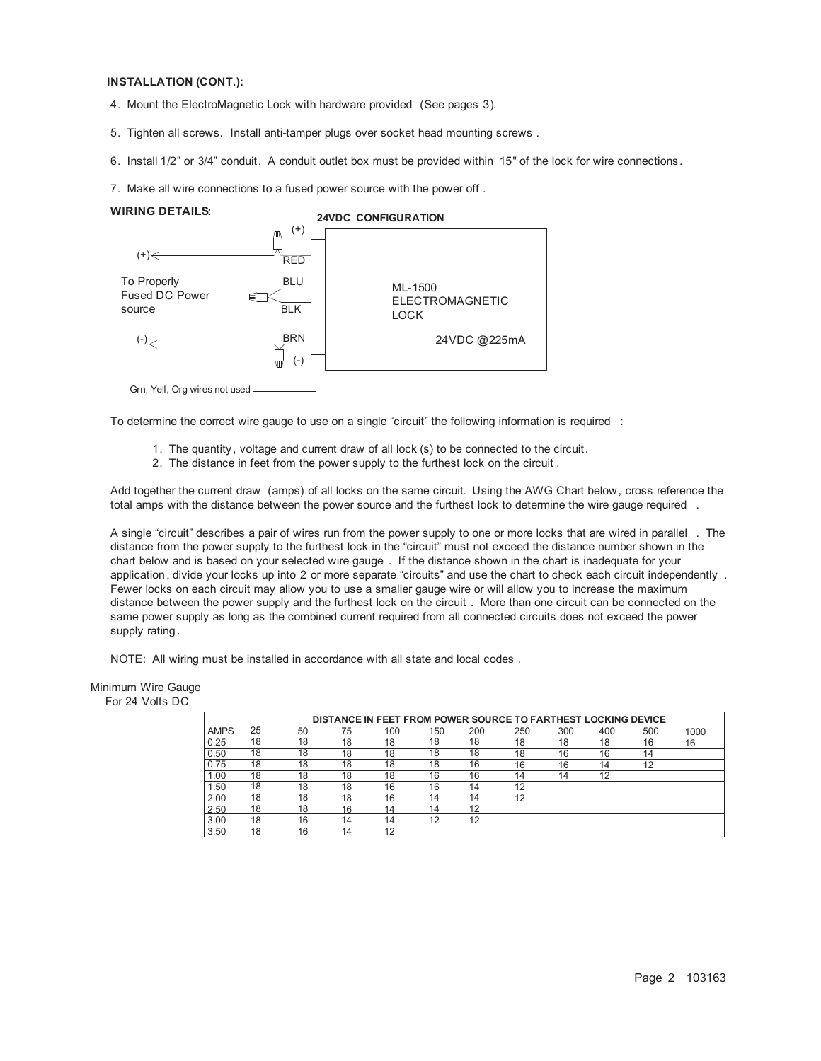#### **INSTALLATION (CONT.):**

- 4. Mount the ElectroMagnetic Lock with hardware provided (See pages 3).
- 5. Tighten all screws. Install anti-tamper plugs over socket head mounting screws .
- 6. Install 1/2" or 3/4" conduit. A conduit outlet box must be provided within 15" of the lock for wire connections.
- 7. Make all wire connections to a fused power source with the power off .

#### **WIRING DETAILS:**





To determine the correct wire gauge to use on a single "circuit" the following information is required :

- 1. The quantity, voltage and current draw of all lock (s) to be connected to the circuit.
- 2. The distance in feet from the power supply to the furthest lock on the circuit .

Add together the current draw (amps) of all locks on the same circuit. Using the AWG Chart below, cross reference the total amps with the distance between the power source and the furthest lock to determine the wire gauge required .

A single "circuit" describes a pair of wires run from the power supply to one or more locks that are wired in parallel . The distance from the power supply to the furthest lock in the "circuit" must not exceed the distance number shown in the chart below and is based on your selected wire gauge . If the distance shown in the chart is inadequate for your application, divide your locks up into 2 or more separate "circuits" and use the chart to check each circuit independently . Fewer locks on each circuit may allow you to use a smaller gauge wire or will allow you to increase the maximum distance between the power supply and the furthest lock on the circuit . More than one circuit can be connected on the same power supply as long as the combined current required from all connected circuits does not exceed the power supply rating.

NOTE: All wiring must be installed in accordance with all state and local codes .

#### Minimum Wire Gauge

For 24 Volts DC

| DISTANCE IN FEET FROM POWER SOURCE TO FARTHEST LOCKING DEVICE |                 |    |    |     |     |     |     |     |     |     |      |
|---------------------------------------------------------------|-----------------|----|----|-----|-----|-----|-----|-----|-----|-----|------|
| <b>AMPS</b>                                                   | $2\overline{5}$ | 50 | 75 | 100 | 150 | 200 | 250 | 300 | 400 | 500 | 1000 |
| 0.25                                                          | 18              | 18 | 18 | 18  | 18  | 18  | 18  | 18  | 18  | 16  | 16   |
| 0.50                                                          | 18              | 18 | 18 | 18  | 18  | 18  | 18  | 16  | 16  | 14  |      |
| 0.75                                                          | 18              | 18 | 18 | 18  | 18  | 16  | 16  | 16  | 14  | 12  |      |
| 1.00                                                          | 18              | 18 | 18 | 18  | 16  | 16  | 14  | 14  | 12  |     |      |
| 1.50                                                          | 18              | 18 | 18 | 16  | 16  | 14  | 12  |     |     |     |      |
| 2.00                                                          | 18              | 18 | 18 | 16  | 14  | 14  | 12  |     |     |     |      |
| 2.50                                                          | 18              | 18 | 16 | 14  | 14  | 12  |     |     |     |     |      |
| 3.00                                                          | 18              | 16 | 14 | 14  | 12  | 12  |     |     |     |     |      |
| 3.50                                                          | 18              | 16 | 14 | 12  |     |     |     |     |     |     |      |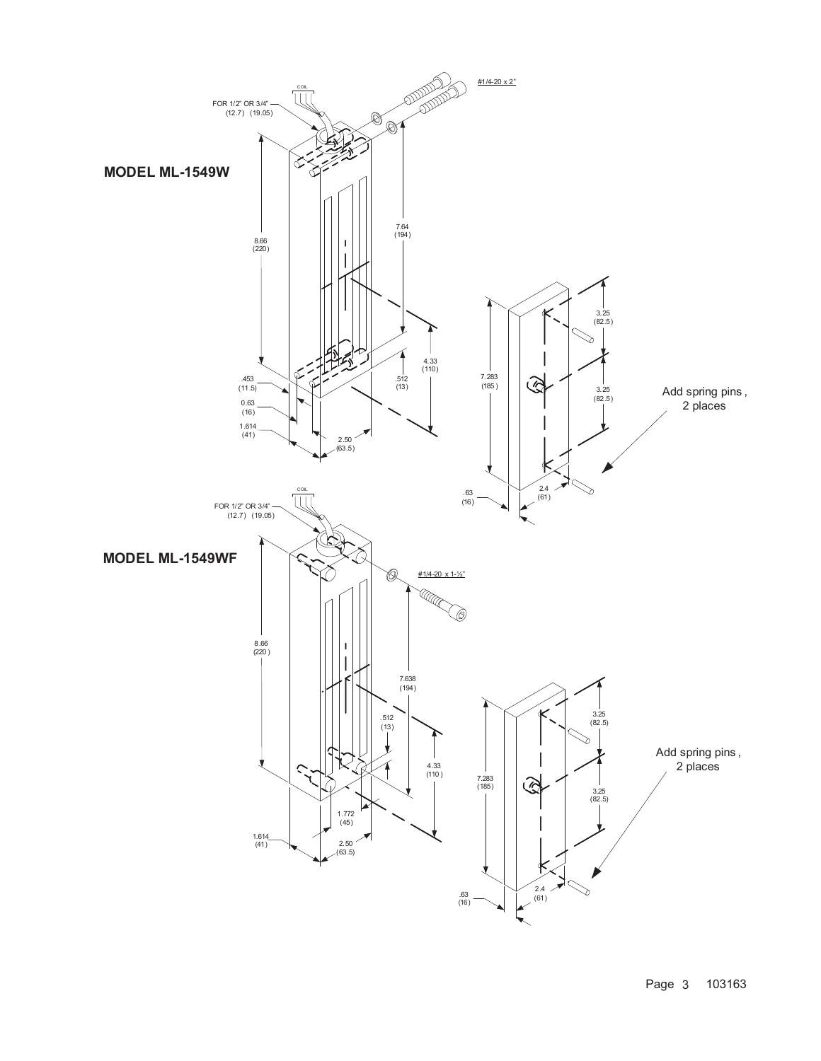

Page 3 103163